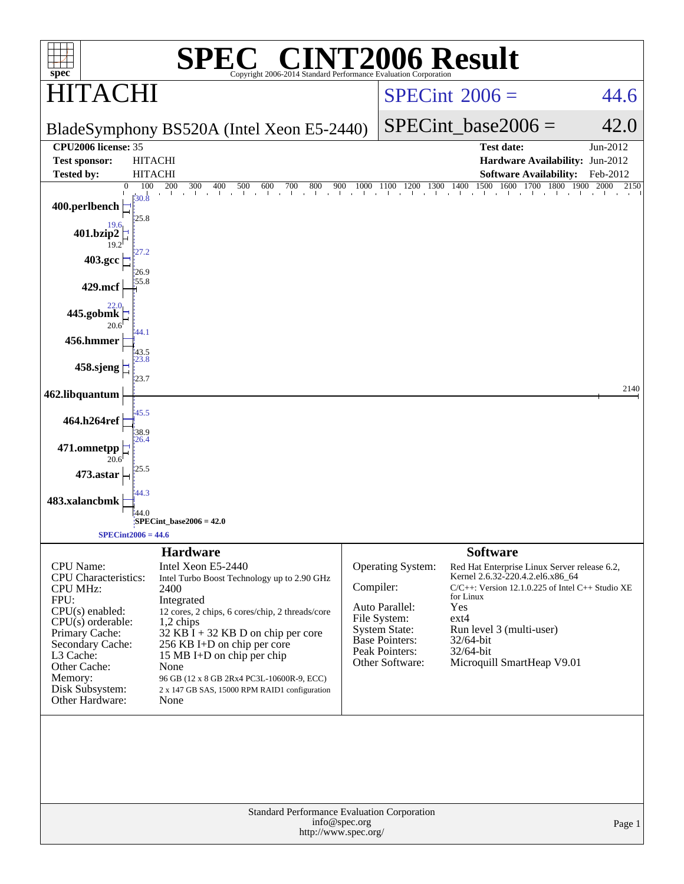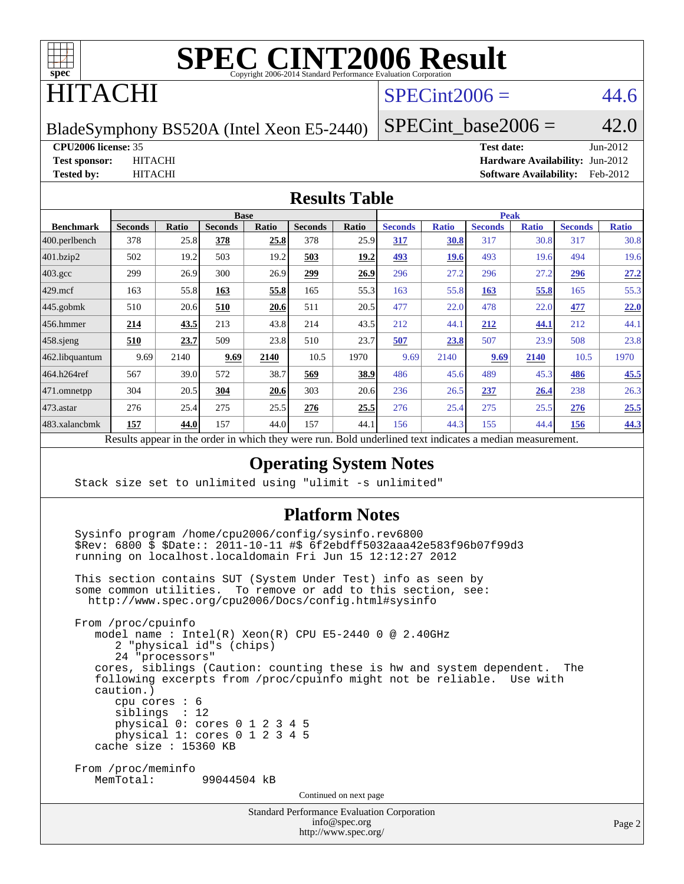

## ITACHI

## $SPECint2006 = 44.6$  $SPECint2006 = 44.6$

BladeSymphony BS520A (Intel Xeon E5-2440)

SPECint base2006 =  $42.0$ 

```
CPU2006 license: 35 Test date: Jun-2012
```
**[Test sponsor:](http://www.spec.org/auto/cpu2006/Docs/result-fields.html#Testsponsor)** HITACHI **[Hardware Availability:](http://www.spec.org/auto/cpu2006/Docs/result-fields.html#HardwareAvailability)** Jun-2012 **[Tested by:](http://www.spec.org/auto/cpu2006/Docs/result-fields.html#Testedby)** HITACHI **[Software Availability:](http://www.spec.org/auto/cpu2006/Docs/result-fields.html#SoftwareAvailability)** Feb-2012

### **[Results Table](http://www.spec.org/auto/cpu2006/Docs/result-fields.html#ResultsTable)**

| <b>Peak</b>                                                                                                                            | <b>Base</b> |  |  |                |                |                                        |                                                                            |
|----------------------------------------------------------------------------------------------------------------------------------------|-------------|--|--|----------------|----------------|----------------------------------------|----------------------------------------------------------------------------|
| <b>Seconds</b><br>Ratio<br><b>Seconds</b><br>Ratio<br><b>Seconds</b><br><b>Seconds</b><br><b>Ratio</b><br><b>Ratio</b><br><b>Ratio</b> |             |  |  | <b>Seconds</b> | <b>Ratio</b>   | <b>Seconds</b>                         | <b>Benchmark</b>                                                           |
| 30.8<br>25.8<br>378<br>317<br>30.8<br>317<br>30.8<br>25.9<br>317                                                                       |             |  |  | 378            | 25.8           | 378                                    | $ 400$ .perlbench                                                          |
| 503<br>19.2<br>19.2<br>493<br>493<br>19.6<br><b>19.6</b><br>19.6<br>494                                                                |             |  |  | 503            | 19.2           | 502                                    | 401.bzip2                                                                  |
| 27.2<br><u>299</u><br>27.2<br>27.2<br>26.9<br>26.9<br>296<br>296<br><u>296</u>                                                         |             |  |  | 300            | 26.9           | 299                                    | $403.\mathrm{gcc}$                                                         |
| 55.3<br>55.8<br>55.8<br>165<br>55.3<br>163<br>55.8<br>163<br>165                                                                       |             |  |  | 163            | 55.8           | 163                                    | $429$ .mcf                                                                 |
| 22.0<br>20.6<br>20.5<br>477<br>511<br>477<br>22.0<br>478<br>22.0                                                                       |             |  |  | 510            | 20.6           | 510                                    |                                                                            |
| 43.8<br>43.5<br>212<br>44.1<br>214<br>212<br>44.1<br>44.1<br>212                                                                       |             |  |  | 213            | 43.5           | 214                                    |                                                                            |
| 23.8<br>23.8<br>510<br>23.7<br>507<br>23.8<br>507<br>508<br>23.9                                                                       |             |  |  | 509            | 23.7           | <u>510</u>                             |                                                                            |
| 10.5<br>9.69<br>9.69<br>10.5<br>2140<br>1970<br>2140<br>2140<br>1970                                                                   |             |  |  | 9.69           | 2140           | 9.69                                   |                                                                            |
| 45.5<br>38.7<br>569<br>38.9<br>45.3<br>45.6<br>489<br>486<br>486                                                                       |             |  |  | 572            | 39.0           | 567                                    | 464.h264ref                                                                |
| 26.3<br>303<br>20.6<br>20.6<br>237<br>238<br>236<br>26.5<br>26.4                                                                       |             |  |  | 304            | 20.5           | 304                                    |                                                                            |
| 25.5<br>276<br>25.5<br>25.5<br>276<br>25.4<br>275<br>276<br>25.5                                                                       |             |  |  | 275            | 25.4           | 276                                    | $473$ . astar                                                              |
| 44.3<br>44.0<br>157<br>44.3<br>155<br>156<br>44.1<br>156<br>44.4                                                                       |             |  |  | 157            | 44.0           | 157                                    | 483.xalancbmk                                                              |
| 1.3.1.41<br>$D$ and $L$ and $L$ and $L$ and $L$ and $L$                                                                                |             |  |  |                | $\overline{1}$ | $\mathbf{D}$ $\mathbf{D}$ $\mathbf{D}$ | $445$ .gobmk<br>456.hmmer<br>$458$ .sjeng<br>462.libquantum<br>471.omnetpp |

Results appear in the [order in which they were run.](http://www.spec.org/auto/cpu2006/Docs/result-fields.html#RunOrder) Bold underlined text [indicates a median measurement.](http://www.spec.org/auto/cpu2006/Docs/result-fields.html#Median)

### **[Operating System Notes](http://www.spec.org/auto/cpu2006/Docs/result-fields.html#OperatingSystemNotes)**

Stack size set to unlimited using "ulimit -s unlimited"

### **[Platform Notes](http://www.spec.org/auto/cpu2006/Docs/result-fields.html#PlatformNotes)**

 Sysinfo program /home/cpu2006/config/sysinfo.rev6800 \$Rev: 6800 \$ \$Date:: 2011-10-11 #\$ 6f2ebdff5032aaa42e583f96b07f99d3 running on localhost.localdomain Fri Jun 15 12:12:27 2012

 This section contains SUT (System Under Test) info as seen by some common utilities. To remove or add to this section, see: <http://www.spec.org/cpu2006/Docs/config.html#sysinfo>

 From /proc/cpuinfo model name : Intel(R) Xeon(R) CPU E5-2440 0 @ 2.40GHz 2 "physical id"s (chips) 24 "processors" cores, siblings (Caution: counting these is hw and system dependent. The following excerpts from /proc/cpuinfo might not be reliable. Use with caution.) cpu cores : 6 siblings : 12 physical 0: cores 0 1 2 3 4 5 physical 1: cores 0 1 2 3 4 5 cache size : 15360 KB From /proc/meminfo MemTotal: 99044504 kB

Continued on next page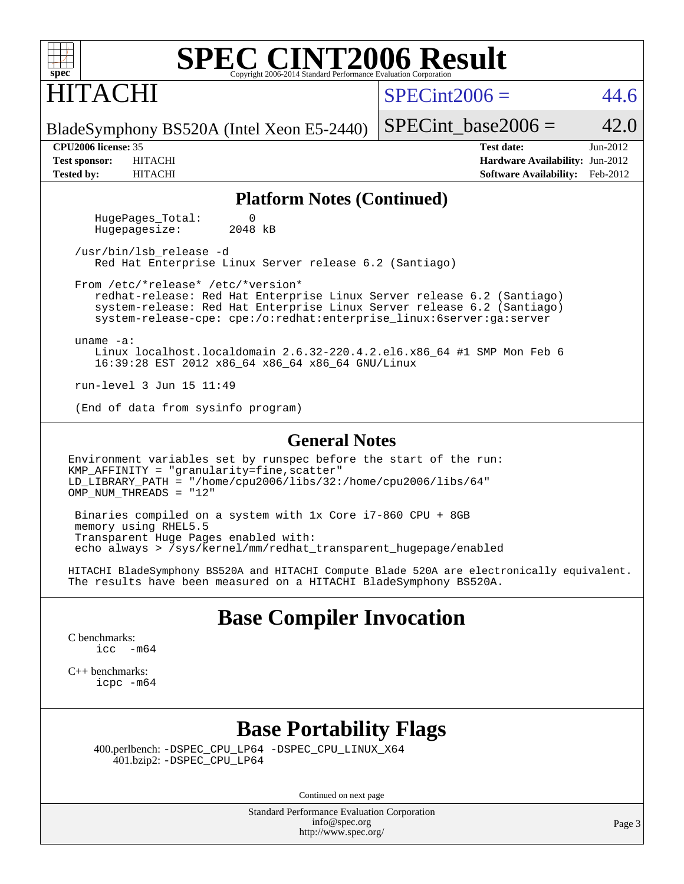| $spec^{\circ}$ | <b>SPEC CINT2006 Result</b><br>Copyright 2006-2014 Standard Performance Evaluation Corporation |  |
|----------------|------------------------------------------------------------------------------------------------|--|
| H              |                                                                                                |  |

## $SPECint2006 = 44.6$  $SPECint2006 = 44.6$

BladeSymphony BS520A (Intel Xeon E5-2440)

SPECint base2006 =  $42.0$ 

**[CPU2006 license:](http://www.spec.org/auto/cpu2006/Docs/result-fields.html#CPU2006license)** 35 **[Test date:](http://www.spec.org/auto/cpu2006/Docs/result-fields.html#Testdate)** Jun-2012 **[Test sponsor:](http://www.spec.org/auto/cpu2006/Docs/result-fields.html#Testsponsor)** HITACHI **[Hardware Availability:](http://www.spec.org/auto/cpu2006/Docs/result-fields.html#HardwareAvailability)** Jun-2012 **[Tested by:](http://www.spec.org/auto/cpu2006/Docs/result-fields.html#Testedby)** HITACHI **[Software Availability:](http://www.spec.org/auto/cpu2006/Docs/result-fields.html#SoftwareAvailability)** Feb-2012

#### **[Platform Notes \(Continued\)](http://www.spec.org/auto/cpu2006/Docs/result-fields.html#PlatformNotes)**

HugePages\_Total: 0<br>Hugepagesize: 2048 kB Hugepagesize:

 /usr/bin/lsb\_release -d Red Hat Enterprise Linux Server release 6.2 (Santiago)

 From /etc/\*release\* /etc/\*version\* redhat-release: Red Hat Enterprise Linux Server release 6.2 (Santiago) system-release: Red Hat Enterprise Linux Server release 6.2 (Santiago) system-release-cpe: cpe:/o:redhat:enterprise\_linux:6server:ga:server

uname -a:

 Linux localhost.localdomain 2.6.32-220.4.2.el6.x86\_64 #1 SMP Mon Feb 6 16:39:28 EST 2012 x86\_64 x86\_64 x86\_64 GNU/Linux

run-level 3 Jun 15 11:49

(End of data from sysinfo program)

#### **[General Notes](http://www.spec.org/auto/cpu2006/Docs/result-fields.html#GeneralNotes)**

Environment variables set by runspec before the start of the run: KMP\_AFFINITY = "granularity=fine,scatter" LD\_LIBRARY\_PATH = "/home/cpu2006/libs/32:/home/cpu2006/libs/64" OMP NUM THREADS =  $"12"$ 

 Binaries compiled on a system with 1x Core i7-860 CPU + 8GB memory using RHEL5.5 Transparent Huge Pages enabled with: echo always > /sys/kernel/mm/redhat\_transparent\_hugepage/enabled

HITACHI BladeSymphony BS520A and HITACHI Compute Blade 520A are electronically equivalent. The results have been measured on a HITACHI BladeSymphony BS520A.

### **[Base Compiler Invocation](http://www.spec.org/auto/cpu2006/Docs/result-fields.html#BaseCompilerInvocation)**

[C benchmarks](http://www.spec.org/auto/cpu2006/Docs/result-fields.html#Cbenchmarks): [icc -m64](http://www.spec.org/cpu2006/results/res2012q3/cpu2006-20120619-23050.flags.html#user_CCbase_intel_icc_64bit_f346026e86af2a669e726fe758c88044)

[C++ benchmarks:](http://www.spec.org/auto/cpu2006/Docs/result-fields.html#CXXbenchmarks) [icpc -m64](http://www.spec.org/cpu2006/results/res2012q3/cpu2006-20120619-23050.flags.html#user_CXXbase_intel_icpc_64bit_fc66a5337ce925472a5c54ad6a0de310)

## **[Base Portability Flags](http://www.spec.org/auto/cpu2006/Docs/result-fields.html#BasePortabilityFlags)**

 400.perlbench: [-DSPEC\\_CPU\\_LP64](http://www.spec.org/cpu2006/results/res2012q3/cpu2006-20120619-23050.flags.html#b400.perlbench_basePORTABILITY_DSPEC_CPU_LP64) [-DSPEC\\_CPU\\_LINUX\\_X64](http://www.spec.org/cpu2006/results/res2012q3/cpu2006-20120619-23050.flags.html#b400.perlbench_baseCPORTABILITY_DSPEC_CPU_LINUX_X64) 401.bzip2: [-DSPEC\\_CPU\\_LP64](http://www.spec.org/cpu2006/results/res2012q3/cpu2006-20120619-23050.flags.html#suite_basePORTABILITY401_bzip2_DSPEC_CPU_LP64)

Continued on next page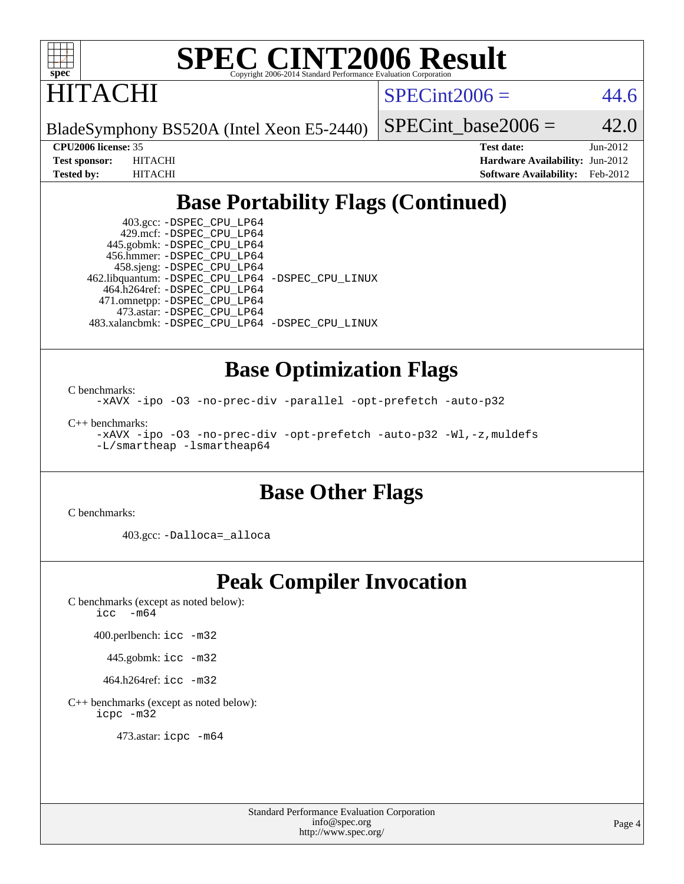

**ITACHI** 

 $SPECint2006 = 44.6$  $SPECint2006 = 44.6$ 

BladeSymphony BS520A (Intel Xeon E5-2440)

SPECint base2006 =  $42.0$ 

**[CPU2006 license:](http://www.spec.org/auto/cpu2006/Docs/result-fields.html#CPU2006license)** 35 **[Test date:](http://www.spec.org/auto/cpu2006/Docs/result-fields.html#Testdate)** Jun-2012 **[Test sponsor:](http://www.spec.org/auto/cpu2006/Docs/result-fields.html#Testsponsor)** HITACHI **[Hardware Availability:](http://www.spec.org/auto/cpu2006/Docs/result-fields.html#HardwareAvailability)** Jun-2012 **[Tested by:](http://www.spec.org/auto/cpu2006/Docs/result-fields.html#Testedby)** HITACHI **[Software Availability:](http://www.spec.org/auto/cpu2006/Docs/result-fields.html#SoftwareAvailability)** Feb-2012

## **[Base Portability Flags \(Continued\)](http://www.spec.org/auto/cpu2006/Docs/result-fields.html#BasePortabilityFlags)**

 403.gcc: [-DSPEC\\_CPU\\_LP64](http://www.spec.org/cpu2006/results/res2012q3/cpu2006-20120619-23050.flags.html#suite_basePORTABILITY403_gcc_DSPEC_CPU_LP64) 429.mcf: [-DSPEC\\_CPU\\_LP64](http://www.spec.org/cpu2006/results/res2012q3/cpu2006-20120619-23050.flags.html#suite_basePORTABILITY429_mcf_DSPEC_CPU_LP64) 445.gobmk: [-DSPEC\\_CPU\\_LP64](http://www.spec.org/cpu2006/results/res2012q3/cpu2006-20120619-23050.flags.html#suite_basePORTABILITY445_gobmk_DSPEC_CPU_LP64) 456.hmmer: [-DSPEC\\_CPU\\_LP64](http://www.spec.org/cpu2006/results/res2012q3/cpu2006-20120619-23050.flags.html#suite_basePORTABILITY456_hmmer_DSPEC_CPU_LP64) 458.sjeng: [-DSPEC\\_CPU\\_LP64](http://www.spec.org/cpu2006/results/res2012q3/cpu2006-20120619-23050.flags.html#suite_basePORTABILITY458_sjeng_DSPEC_CPU_LP64) 462.libquantum: [-DSPEC\\_CPU\\_LP64](http://www.spec.org/cpu2006/results/res2012q3/cpu2006-20120619-23050.flags.html#suite_basePORTABILITY462_libquantum_DSPEC_CPU_LP64) [-DSPEC\\_CPU\\_LINUX](http://www.spec.org/cpu2006/results/res2012q3/cpu2006-20120619-23050.flags.html#b462.libquantum_baseCPORTABILITY_DSPEC_CPU_LINUX) 464.h264ref: [-DSPEC\\_CPU\\_LP64](http://www.spec.org/cpu2006/results/res2012q3/cpu2006-20120619-23050.flags.html#suite_basePORTABILITY464_h264ref_DSPEC_CPU_LP64) 471.omnetpp: [-DSPEC\\_CPU\\_LP64](http://www.spec.org/cpu2006/results/res2012q3/cpu2006-20120619-23050.flags.html#suite_basePORTABILITY471_omnetpp_DSPEC_CPU_LP64) 473.astar: [-DSPEC\\_CPU\\_LP64](http://www.spec.org/cpu2006/results/res2012q3/cpu2006-20120619-23050.flags.html#suite_basePORTABILITY473_astar_DSPEC_CPU_LP64) 483.xalancbmk: [-DSPEC\\_CPU\\_LP64](http://www.spec.org/cpu2006/results/res2012q3/cpu2006-20120619-23050.flags.html#suite_basePORTABILITY483_xalancbmk_DSPEC_CPU_LP64) [-DSPEC\\_CPU\\_LINUX](http://www.spec.org/cpu2006/results/res2012q3/cpu2006-20120619-23050.flags.html#b483.xalancbmk_baseCXXPORTABILITY_DSPEC_CPU_LINUX)

### **[Base Optimization Flags](http://www.spec.org/auto/cpu2006/Docs/result-fields.html#BaseOptimizationFlags)**

[C benchmarks](http://www.spec.org/auto/cpu2006/Docs/result-fields.html#Cbenchmarks): [-xAVX](http://www.spec.org/cpu2006/results/res2012q3/cpu2006-20120619-23050.flags.html#user_CCbase_f-xAVX) [-ipo](http://www.spec.org/cpu2006/results/res2012q3/cpu2006-20120619-23050.flags.html#user_CCbase_f-ipo) [-O3](http://www.spec.org/cpu2006/results/res2012q3/cpu2006-20120619-23050.flags.html#user_CCbase_f-O3) [-no-prec-div](http://www.spec.org/cpu2006/results/res2012q3/cpu2006-20120619-23050.flags.html#user_CCbase_f-no-prec-div) [-parallel](http://www.spec.org/cpu2006/results/res2012q3/cpu2006-20120619-23050.flags.html#user_CCbase_f-parallel) [-opt-prefetch](http://www.spec.org/cpu2006/results/res2012q3/cpu2006-20120619-23050.flags.html#user_CCbase_f-opt-prefetch) [-auto-p32](http://www.spec.org/cpu2006/results/res2012q3/cpu2006-20120619-23050.flags.html#user_CCbase_f-auto-p32)

[C++ benchmarks:](http://www.spec.org/auto/cpu2006/Docs/result-fields.html#CXXbenchmarks) [-xAVX](http://www.spec.org/cpu2006/results/res2012q3/cpu2006-20120619-23050.flags.html#user_CXXbase_f-xAVX) [-ipo](http://www.spec.org/cpu2006/results/res2012q3/cpu2006-20120619-23050.flags.html#user_CXXbase_f-ipo) [-O3](http://www.spec.org/cpu2006/results/res2012q3/cpu2006-20120619-23050.flags.html#user_CXXbase_f-O3) [-no-prec-div](http://www.spec.org/cpu2006/results/res2012q3/cpu2006-20120619-23050.flags.html#user_CXXbase_f-no-prec-div) [-opt-prefetch](http://www.spec.org/cpu2006/results/res2012q3/cpu2006-20120619-23050.flags.html#user_CXXbase_f-opt-prefetch) [-auto-p32](http://www.spec.org/cpu2006/results/res2012q3/cpu2006-20120619-23050.flags.html#user_CXXbase_f-auto-p32) [-Wl,-z,muldefs](http://www.spec.org/cpu2006/results/res2012q3/cpu2006-20120619-23050.flags.html#user_CXXbase_link_force_multiple1_74079c344b956b9658436fd1b6dd3a8a) [-L/smartheap -lsmartheap64](http://www.spec.org/cpu2006/results/res2012q3/cpu2006-20120619-23050.flags.html#user_CXXbase_SmartHeap64_5e654037dadeae1fe403ab4b4466e60b)

## **[Base Other Flags](http://www.spec.org/auto/cpu2006/Docs/result-fields.html#BaseOtherFlags)**

[C benchmarks](http://www.spec.org/auto/cpu2006/Docs/result-fields.html#Cbenchmarks):

403.gcc: [-Dalloca=\\_alloca](http://www.spec.org/cpu2006/results/res2012q3/cpu2006-20120619-23050.flags.html#b403.gcc_baseEXTRA_CFLAGS_Dalloca_be3056838c12de2578596ca5467af7f3)

## **[Peak Compiler Invocation](http://www.spec.org/auto/cpu2006/Docs/result-fields.html#PeakCompilerInvocation)**

[C benchmarks \(except as noted below\)](http://www.spec.org/auto/cpu2006/Docs/result-fields.html#Cbenchmarksexceptasnotedbelow): [icc -m64](http://www.spec.org/cpu2006/results/res2012q3/cpu2006-20120619-23050.flags.html#user_CCpeak_intel_icc_64bit_f346026e86af2a669e726fe758c88044)

400.perlbench: [icc -m32](http://www.spec.org/cpu2006/results/res2012q3/cpu2006-20120619-23050.flags.html#user_peakCCLD400_perlbench_intel_icc_a6a621f8d50482236b970c6ac5f55f93)

445.gobmk: [icc -m32](http://www.spec.org/cpu2006/results/res2012q3/cpu2006-20120619-23050.flags.html#user_peakCCLD445_gobmk_intel_icc_a6a621f8d50482236b970c6ac5f55f93)

464.h264ref: [icc -m32](http://www.spec.org/cpu2006/results/res2012q3/cpu2006-20120619-23050.flags.html#user_peakCCLD464_h264ref_intel_icc_a6a621f8d50482236b970c6ac5f55f93)

[C++ benchmarks \(except as noted below\):](http://www.spec.org/auto/cpu2006/Docs/result-fields.html#CXXbenchmarksexceptasnotedbelow) [icpc -m32](http://www.spec.org/cpu2006/results/res2012q3/cpu2006-20120619-23050.flags.html#user_CXXpeak_intel_icpc_4e5a5ef1a53fd332b3c49e69c3330699)

473.astar: [icpc -m64](http://www.spec.org/cpu2006/results/res2012q3/cpu2006-20120619-23050.flags.html#user_peakCXXLD473_astar_intel_icpc_64bit_fc66a5337ce925472a5c54ad6a0de310)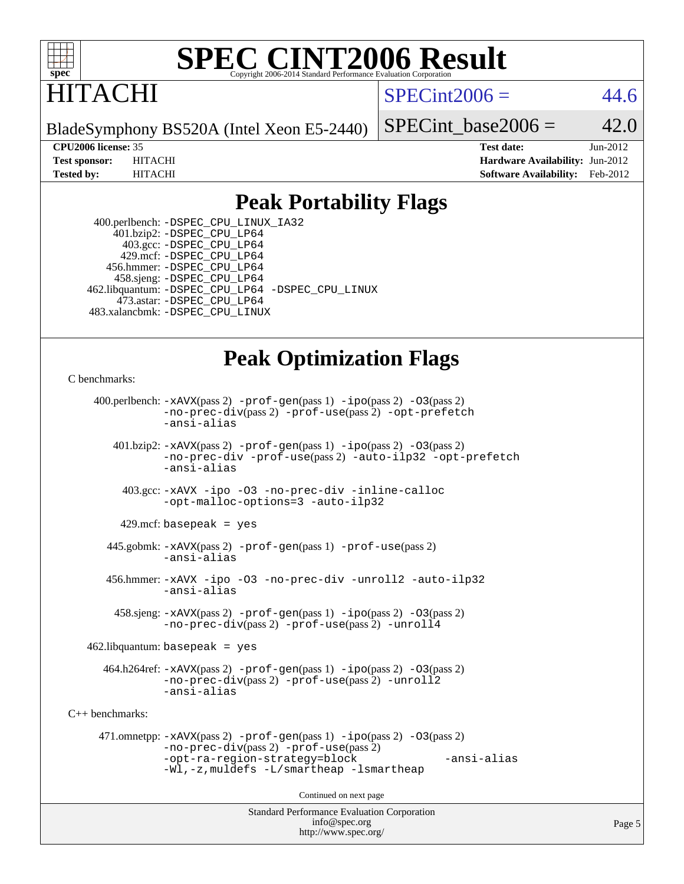

## ITACHI

 $SPECint2006 = 44.6$  $SPECint2006 = 44.6$ 

BladeSymphony BS520A (Intel Xeon E5-2440)

SPECint base2006 =  $42.0$ 

**[CPU2006 license:](http://www.spec.org/auto/cpu2006/Docs/result-fields.html#CPU2006license)** 35 **[Test date:](http://www.spec.org/auto/cpu2006/Docs/result-fields.html#Testdate)** Jun-2012 **[Test sponsor:](http://www.spec.org/auto/cpu2006/Docs/result-fields.html#Testsponsor)** HITACHI **[Hardware Availability:](http://www.spec.org/auto/cpu2006/Docs/result-fields.html#HardwareAvailability)** Jun-2012 **[Tested by:](http://www.spec.org/auto/cpu2006/Docs/result-fields.html#Testedby)** HITACHI **[Software Availability:](http://www.spec.org/auto/cpu2006/Docs/result-fields.html#SoftwareAvailability)** Feb-2012

## **[Peak Portability Flags](http://www.spec.org/auto/cpu2006/Docs/result-fields.html#PeakPortabilityFlags)**

 400.perlbench: [-DSPEC\\_CPU\\_LINUX\\_IA32](http://www.spec.org/cpu2006/results/res2012q3/cpu2006-20120619-23050.flags.html#b400.perlbench_peakCPORTABILITY_DSPEC_CPU_LINUX_IA32) 401.bzip2: [-DSPEC\\_CPU\\_LP64](http://www.spec.org/cpu2006/results/res2012q3/cpu2006-20120619-23050.flags.html#suite_peakPORTABILITY401_bzip2_DSPEC_CPU_LP64) 403.gcc: [-DSPEC\\_CPU\\_LP64](http://www.spec.org/cpu2006/results/res2012q3/cpu2006-20120619-23050.flags.html#suite_peakPORTABILITY403_gcc_DSPEC_CPU_LP64) 429.mcf: [-DSPEC\\_CPU\\_LP64](http://www.spec.org/cpu2006/results/res2012q3/cpu2006-20120619-23050.flags.html#suite_peakPORTABILITY429_mcf_DSPEC_CPU_LP64) 456.hmmer: [-DSPEC\\_CPU\\_LP64](http://www.spec.org/cpu2006/results/res2012q3/cpu2006-20120619-23050.flags.html#suite_peakPORTABILITY456_hmmer_DSPEC_CPU_LP64) 458.sjeng: [-DSPEC\\_CPU\\_LP64](http://www.spec.org/cpu2006/results/res2012q3/cpu2006-20120619-23050.flags.html#suite_peakPORTABILITY458_sjeng_DSPEC_CPU_LP64) 462.libquantum: [-DSPEC\\_CPU\\_LP64](http://www.spec.org/cpu2006/results/res2012q3/cpu2006-20120619-23050.flags.html#suite_peakPORTABILITY462_libquantum_DSPEC_CPU_LP64) [-DSPEC\\_CPU\\_LINUX](http://www.spec.org/cpu2006/results/res2012q3/cpu2006-20120619-23050.flags.html#b462.libquantum_peakCPORTABILITY_DSPEC_CPU_LINUX) 473.astar: [-DSPEC\\_CPU\\_LP64](http://www.spec.org/cpu2006/results/res2012q3/cpu2006-20120619-23050.flags.html#suite_peakPORTABILITY473_astar_DSPEC_CPU_LP64) 483.xalancbmk: [-DSPEC\\_CPU\\_LINUX](http://www.spec.org/cpu2006/results/res2012q3/cpu2006-20120619-23050.flags.html#b483.xalancbmk_peakCXXPORTABILITY_DSPEC_CPU_LINUX)

## **[Peak Optimization Flags](http://www.spec.org/auto/cpu2006/Docs/result-fields.html#PeakOptimizationFlags)**

[C benchmarks](http://www.spec.org/auto/cpu2006/Docs/result-fields.html#Cbenchmarks):

```
Standard Performance Evaluation Corporation
                                          info@spec.org
     400.perlbench: -xAVX(pass 2) -prof-gen(pass 1) -ipo(pass 2) -O3(pass 2)
                -no-prec-div(pass 2) -prof-use(pass 2) -opt-prefetch
                -ansi-alias
        401.bzip2: -xAVX(pass 2) -prof-gen(pass 1) -ipo(pass 2) -O3(pass 2)
                -no-prec-div -prof-use(pass 2) -auto-ilp32 -opt-prefetch
                -ansi-alias
          403.gcc: -xAVX -ipo -O3 -no-prec-div -inline-calloc
                -opt-malloc-options=3 -auto-ilp32
         429.mcf: basepeak = yes
       445.gobmk: -xAVX(pass 2) -prof-gen(pass 1) -prof-use(pass 2)
                -ansi-alias
       456.hmmer: -xAVX -ipo -O3 -no-prec-div -unroll2 -auto-ilp32
                -ansi-alias
         458.sjeng: -xAVX(pass 2) -prof-gen(pass 1) -ipo(pass 2) -O3(pass 2)
                -no-prec-div(pass 2) -prof-use(pass 2) -unroll4
    462.libquantum: basepeak = yes
       464.h264ref: -xAVX(pass 2) -prof-gen(pass 1) -ipo(pass 2) -O3(pass 2)
                -no-prec-div(pass 2) -prof-use(pass 2) -unroll2
                -ansi-alias
C++ benchmarks: 
      471.omnetpp: -xAVX(pass 2) -prof-gen(pass 1) -ipo(pass 2) -O3(pass 2)
                -no-prec-div(pass 2) -prof-use(pass 2)
                -opt-ra-region-strategy=block -ansi-alias
                -Wl,-z,muldefs -L/smartheap -lsmartheap
                                        Continued on next page
```
<http://www.spec.org/>